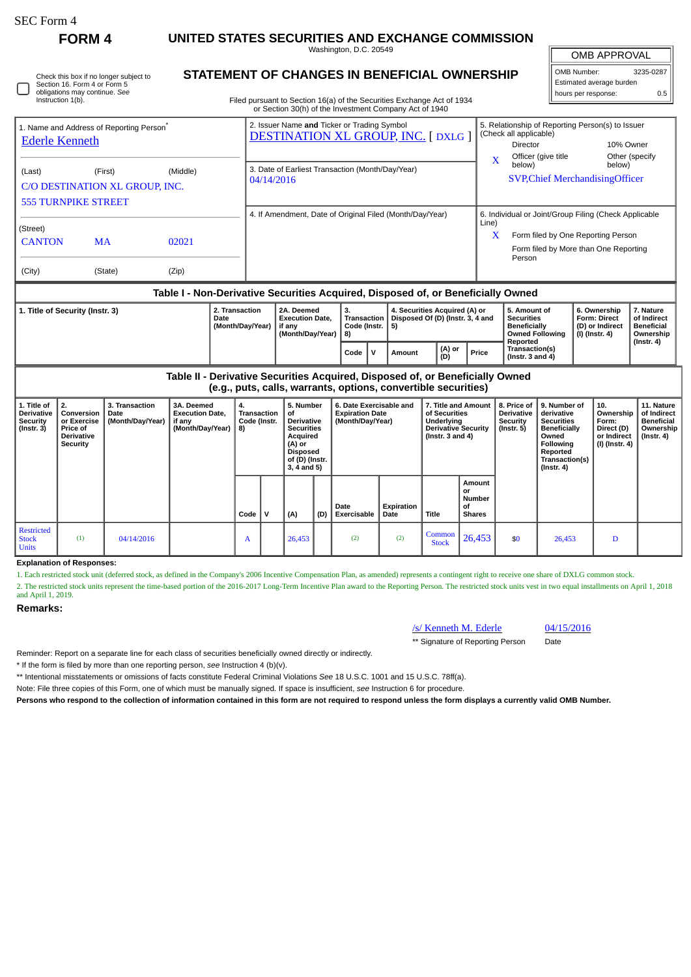П

#### **FORM 4 UNITED STATES SECURITIES AND EXCHANGE COMMISSION** Washington, D.C. 20549

| Check this box if no longer subject to |
|----------------------------------------|
| Section 16. Form 4 or Form 5           |
| obligations may continue. See          |
| Instruction 1(b).                      |

## **STATEMENT OF CHANGES IN BENEFICIAL OWNERSHIP**

Filed pursuant to Section 16(a) of the Securities Exchange Act of 1934 or Section 30(h) of the Investment Company Act of 1940

| OMB APPROVAL             |           |  |  |  |  |  |  |  |  |  |
|--------------------------|-----------|--|--|--|--|--|--|--|--|--|
| OMB Number:              | 3235-0287 |  |  |  |  |  |  |  |  |  |
| Estimated average burden |           |  |  |  |  |  |  |  |  |  |
| hours per response:      | 0.5       |  |  |  |  |  |  |  |  |  |

| 1. Name and Address of Reporting Person <sup>®</sup><br><b>Ederle Kenneth</b> |           |       | 2. Issuer Name and Ticker or Trading Symbol<br><b>DESTINATION XL GROUP, INC. [DXLG ]</b> |          | 5. Relationship of Reporting Person(s) to Issuer<br>(Check all applicable)<br>Director | 10% Owner                |  |
|-------------------------------------------------------------------------------|-----------|-------|------------------------------------------------------------------------------------------|----------|----------------------------------------------------------------------------------------|--------------------------|--|
| (Middle)<br>(First)                                                           |           |       | 3. Date of Earliest Transaction (Month/Day/Year)                                         | $\bf{X}$ | Officer (give title<br>below)                                                          | Other (specify<br>below) |  |
| (Last)                                                                        |           |       |                                                                                          |          | <b>SVP, Chief Merchandising Officer</b>                                                |                          |  |
| C/O DESTINATION XL GROUP, INC.                                                |           |       | 04/14/2016                                                                               |          |                                                                                        |                          |  |
| <b>555 TURNPIKE STREET</b>                                                    |           |       |                                                                                          |          |                                                                                        |                          |  |
|                                                                               |           |       | 4. If Amendment, Date of Original Filed (Month/Day/Year)                                 |          | 6. Individual or Joint/Group Filing (Check Applicable                                  |                          |  |
| (Street)                                                                      |           |       |                                                                                          | Line)    |                                                                                        |                          |  |
| <b>CANTON</b>                                                                 | <b>MA</b> | 02021 |                                                                                          | X        | Form filed by One Reporting Person                                                     |                          |  |
|                                                                               |           |       |                                                                                          |          | Form filed by More than One Reporting<br>Person                                        |                          |  |
| (City)                                                                        | (State)   | (Zip) |                                                                                          |          |                                                                                        |                          |  |

### **Table I - Non-Derivative Securities Acquired, Disposed of, or Beneficially Owned**

| 1. Title of Security (Instr. 3) | 2. Transaction<br>Date<br>Month/Dav/Year) |  | З.<br>Code (Instr.   5)<br>l 8) |  | 4. Securities Acquired (A) or<br>Transaction   Disposed Of (D) (Instr. 3, 4 and |               |       | 5. Amount of<br>Securities<br>Beneficially<br><b>Owned Following</b> | 6. Ownership<br><b>Form: Direct</b><br>l (D) or Indirect<br>  (I) (Instr. 4) | 7. Nature<br>of Indirect<br><b>Beneficial</b><br>Ownership |
|---------------------------------|-------------------------------------------|--|---------------------------------|--|---------------------------------------------------------------------------------|---------------|-------|----------------------------------------------------------------------|------------------------------------------------------------------------------|------------------------------------------------------------|
|                                 |                                           |  | Code                            |  | Amount                                                                          | (A) or<br>(D) | Price | Reported<br>Transaction(s)<br>(Instr. $3$ and $4$ )                  |                                                                              | $($ Instr. 4 $)$                                           |

**Table II - Derivative Securities Acquired, Disposed of, or Beneficially Owned (e.g., puts, calls, warrants, options, convertible securities)**

| 1. Title of<br><b>Derivative</b><br><b>Security</b><br>$($ Instr. 3 $)$ | l 2.<br>Conversion<br>or Exercise<br>Price of<br><b>Derivative</b><br>Security | 3. Transaction<br>l Date<br>(Month/Day/Year) | 3A. Deemed<br><b>Execution Date,</b><br>if any<br>(Month/Day/Year) | 4.<br><b>Transaction</b><br>Code (Instr.<br>8) |  | 5. Number<br>of<br><b>Derivative</b><br><b>Securities</b><br>Acquired<br>(A) or<br><b>Disposed</b><br>of (D) (Instr.<br>$3, 4$ and $5)$ |     | 6. Date Exercisable and<br><b>Expiration Date</b><br>(Month/Day/Year) |                    | 7. Title and Amount<br>of Securities<br>Underlying<br><b>Derivative Security</b><br>(Instr. $3$ and $4$ ) |                                                      | 8. Price of<br>Derivative<br>Security<br>(Instr. 5) | 9. Number of<br>derivative<br><b>Securities</b><br>Beneficially<br>Owned<br><b>Following</b><br>Reported<br>Transaction(s)<br>$($ Instr. 4 $)$ | 10.<br>Ownership<br>Form:<br>Direct (D)<br>or Indirect<br>  (I) (Instr. 4) | 11. Nature<br>of Indirect<br><b>Beneficial</b><br>Ownership<br>$($ Instr. 4 $)$ |
|-------------------------------------------------------------------------|--------------------------------------------------------------------------------|----------------------------------------------|--------------------------------------------------------------------|------------------------------------------------|--|-----------------------------------------------------------------------------------------------------------------------------------------|-----|-----------------------------------------------------------------------|--------------------|-----------------------------------------------------------------------------------------------------------|------------------------------------------------------|-----------------------------------------------------|------------------------------------------------------------------------------------------------------------------------------------------------|----------------------------------------------------------------------------|---------------------------------------------------------------------------------|
|                                                                         |                                                                                |                                              |                                                                    | Code                                           |  | (A)                                                                                                                                     | (D) | Date<br>Exercisable                                                   | Expiration<br>Date | Title                                                                                                     | Amount<br>or<br><b>Number</b><br>οf<br><b>Shares</b> |                                                     |                                                                                                                                                |                                                                            |                                                                                 |
| <b>Restricted</b><br><b>Stock</b><br><b>Units</b>                       | (1)                                                                            | 04/14/2016                                   |                                                                    | A                                              |  | 26,453                                                                                                                                  |     | (2)                                                                   | (2)                | Common<br><b>Stock</b>                                                                                    | 26,453                                               | \$0                                                 | 26,453                                                                                                                                         | D                                                                          |                                                                                 |

#### **Explanation of Responses:**

1. Each restricted stock unit (deferred stock, as defined in the Company's 2006 Incentive Compensation Plan, as amended) represents a contingent right to receive one share of DXLG common stock.

2. The restricted stock units represent the time-based portion of the 2016-2017 Long-Term Incentive Plan award to the Reporting Person. The restricted stock units vest in two equal installments on April 1, 2018 and April 1, 2019.

#### **Remarks:**

# /s/ Kenneth M. Ederle 04/15/2016

\*\* Signature of Reporting Person Date

Reminder: Report on a separate line for each class of securities beneficially owned directly or indirectly.

\* If the form is filed by more than one reporting person, *see* Instruction 4 (b)(v).

\*\* Intentional misstatements or omissions of facts constitute Federal Criminal Violations *See* 18 U.S.C. 1001 and 15 U.S.C. 78ff(a).

Note: File three copies of this Form, one of which must be manually signed. If space is insufficient, *see* Instruction 6 for procedure.

**Persons who respond to the collection of information contained in this form are not required to respond unless the form displays a currently valid OMB Number.**